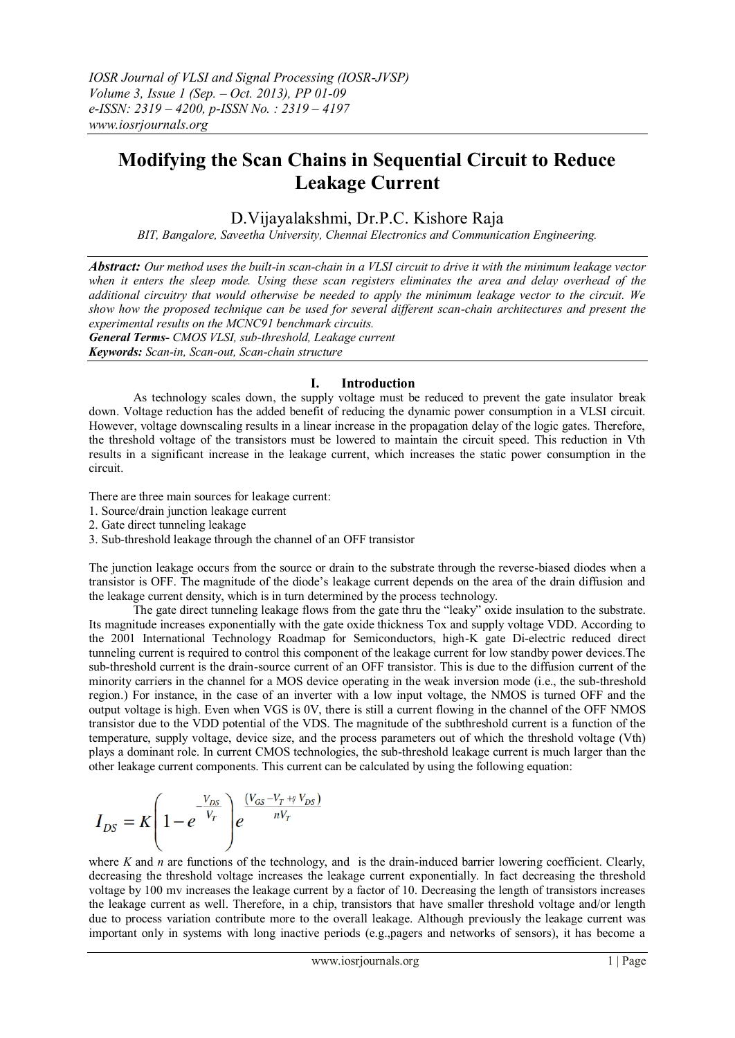# **Modifying the Scan Chains in Sequential Circuit to Reduce Leakage Current**

# D.Vijayalakshmi, Dr.P.C. Kishore Raja

*BIT, Bangalore, Saveetha University, Chennai Electronics and Communication Engineering.*

*Abstract: Our method uses the built-in scan-chain in a VLSI circuit to drive it with the minimum leakage vector when it enters the sleep mode. Using these scan registers eliminates the area and delay overhead of the additional circuitry that would otherwise be needed to apply the minimum leakage vector to the circuit. We show how the proposed technique can be used for several different scan-chain architectures and present the experimental results on the MCNC91 benchmark circuits.*

*General Terms- CMOS VLSI, sub-threshold, Leakage current Keywords: Scan-in, Scan-out, Scan-chain structure*

## **I. Introduction**

As technology scales down, the supply voltage must be reduced to prevent the gate insulator break down. Voltage reduction has the added benefit of reducing the dynamic power consumption in a VLSI circuit. However, voltage downscaling results in a linear increase in the propagation delay of the logic gates. Therefore, the threshold voltage of the transistors must be lowered to maintain the circuit speed. This reduction in Vth results in a significant increase in the leakage current, which increases the static power consumption in the circuit.

There are three main sources for leakage current:

- 1. Source/drain junction leakage current
- 2. Gate direct tunneling leakage

3. Sub-threshold leakage through the channel of an OFF transistor

The junction leakage occurs from the source or drain to the substrate through the reverse-biased diodes when a transistor is OFF. The magnitude of the diode's leakage current depends on the area of the drain diffusion and the leakage current density, which is in turn determined by the process technology.

The gate direct tunneling leakage flows from the gate thru the "leaky" oxide insulation to the substrate. Its magnitude increases exponentially with the gate oxide thickness Tox and supply voltage VDD. According to the 2001 International Technology Roadmap for Semiconductors, high-K gate Di-electric reduced direct tunneling current is required to control this component of the leakage current for low standby power devices.The sub-threshold current is the drain-source current of an OFF transistor. This is due to the diffusion current of the minority carriers in the channel for a MOS device operating in the weak inversion mode (i.e., the sub-threshold region.) For instance, in the case of an inverter with a low input voltage, the NMOS is turned OFF and the output voltage is high. Even when VGS is 0V, there is still a current flowing in the channel of the OFF NMOS transistor due to the VDD potential of the VDS. The magnitude of the subthreshold current is a function of the temperature, supply voltage, device size, and the process parameters out of which the threshold voltage (Vth) plays a dominant role. In current CMOS technologies, the sub-threshold leakage current is much larger than the other leakage current components. This current can be calculated by using the following equation:

$$
I_{DS} = K \left( 1 - e^{-\frac{V_{DS}}{V_T}} \right) e^{\frac{(V_{GS} - V_T + \eta V_{DS})}{nV_T}}
$$

where *K* and *n* are functions of the technology, and is the drain-induced barrier lowering coefficient. Clearly, decreasing the threshold voltage increases the leakage current exponentially. In fact decreasing the threshold voltage by 100 mv increases the leakage current by a factor of 10. Decreasing the length of transistors increases the leakage current as well. Therefore, in a chip, transistors that have smaller threshold voltage and/or length due to process variation contribute more to the overall leakage. Although previously the leakage current was important only in systems with long inactive periods (e.g.,pagers and networks of sensors), it has become a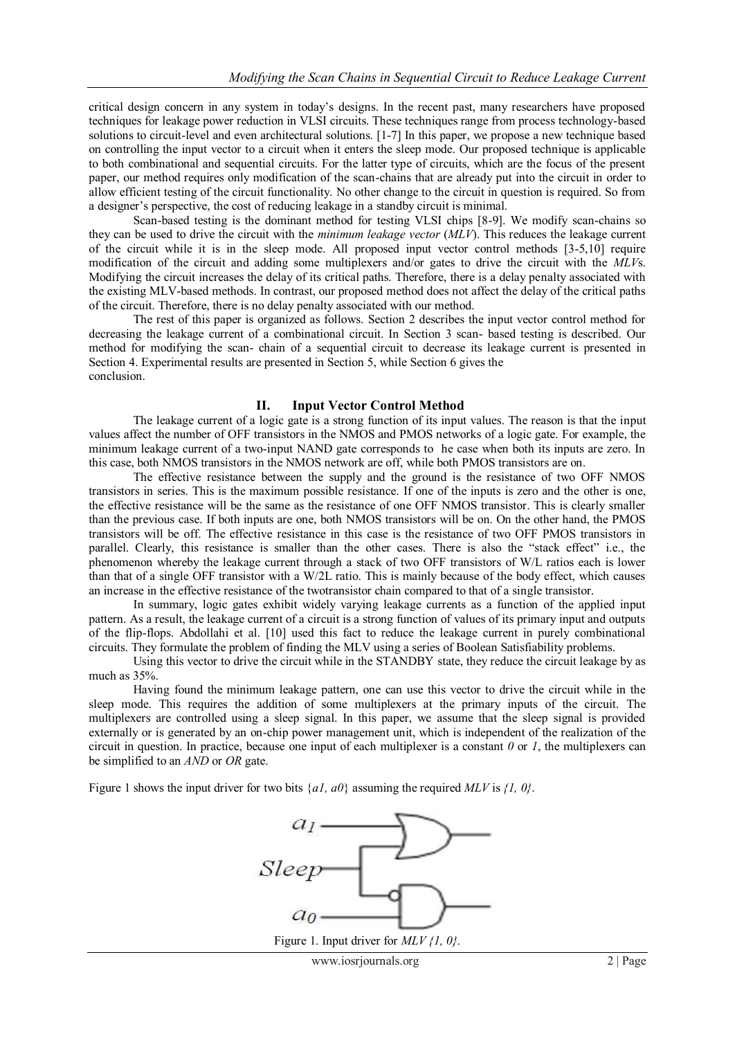critical design concern in any system in today's designs. In the recent past, many researchers have proposed techniques for leakage power reduction in VLSI circuits. These techniques range from process technology-based solutions to circuit-level and even architectural solutions. [1-7] In this paper, we propose a new technique based on controlling the input vector to a circuit when it enters the sleep mode. Our proposed technique is applicable to both combinational and sequential circuits. For the latter type of circuits, which are the focus of the present paper, our method requires only modification of the scan-chains that are already put into the circuit in order to allow efficient testing of the circuit functionality. No other change to the circuit in question is required. So from a designer's perspective, the cost of reducing leakage in a standby circuit is minimal.

Scan-based testing is the dominant method for testing VLSI chips [8-9]. We modify scan-chains so they can be used to drive the circuit with the *minimum leakage vector* (*MLV*). This reduces the leakage current of the circuit while it is in the sleep mode. All proposed input vector control methods [3-5,10] require modification of the circuit and adding some multiplexers and/or gates to drive the circuit with the *MLV*s. Modifying the circuit increases the delay of its critical paths. Therefore, there is a delay penalty associated with the existing MLV-based methods. In contrast, our proposed method does not affect the delay of the critical paths of the circuit. Therefore, there is no delay penalty associated with our method.

The rest of this paper is organized as follows. Section 2 describes the input vector control method for decreasing the leakage current of a combinational circuit. In Section 3 scan- based testing is described. Our method for modifying the scan- chain of a sequential circuit to decrease its leakage current is presented in Section 4. Experimental results are presented in Section 5, while Section 6 gives the conclusion.

#### **II. Input Vector Control Method**

The leakage current of a logic gate is a strong function of its input values. The reason is that the input values affect the number of OFF transistors in the NMOS and PMOS networks of a logic gate. For example, the minimum leakage current of a two-input NAND gate corresponds to he case when both its inputs are zero. In this case, both NMOS transistors in the NMOS network are off, while both PMOS transistors are on.

The effective resistance between the supply and the ground is the resistance of two OFF NMOS transistors in series. This is the maximum possible resistance. If one of the inputs is zero and the other is one, the effective resistance will be the same as the resistance of one OFF NMOS transistor. This is clearly smaller than the previous case. If both inputs are one, both NMOS transistors will be on. On the other hand, the PMOS transistors will be off. The effective resistance in this case is the resistance of two OFF PMOS transistors in parallel. Clearly, this resistance is smaller than the other cases. There is also the "stack effect" i.e., the phenomenon whereby the leakage current through a stack of two OFF transistors of W/L ratios each is lower than that of a single OFF transistor with a W/2L ratio. This is mainly because of the body effect, which causes an increase in the effective resistance of the twotransistor chain compared to that of a single transistor.

In summary, logic gates exhibit widely varying leakage currents as a function of the applied input pattern. As a result, the leakage current of a circuit is a strong function of values of its primary input and outputs of the flip-flops. Abdollahi et al. [10] used this fact to reduce the leakage current in purely combinational circuits. They formulate the problem of finding the MLV using a series of Boolean Satisfiability problems.

Using this vector to drive the circuit while in the STANDBY state, they reduce the circuit leakage by as much as 35%.

Having found the minimum leakage pattern, one can use this vector to drive the circuit while in the sleep mode. This requires the addition of some multiplexers at the primary inputs of the circuit. The multiplexers are controlled using a sleep signal. In this paper, we assume that the sleep signal is provided externally or is generated by an on-chip power management unit, which is independent of the realization of the circuit in question. In practice, because one input of each multiplexer is a constant  $\theta$  or  $I$ , the multiplexers can be simplified to an *AND* or *OR* gate.

Figure 1 shows the input driver for two bits {*a1, a0*} assuming the required *MLV* is *{1, 0}*.



Figure 1. Input driver for *MLV {1, 0}*.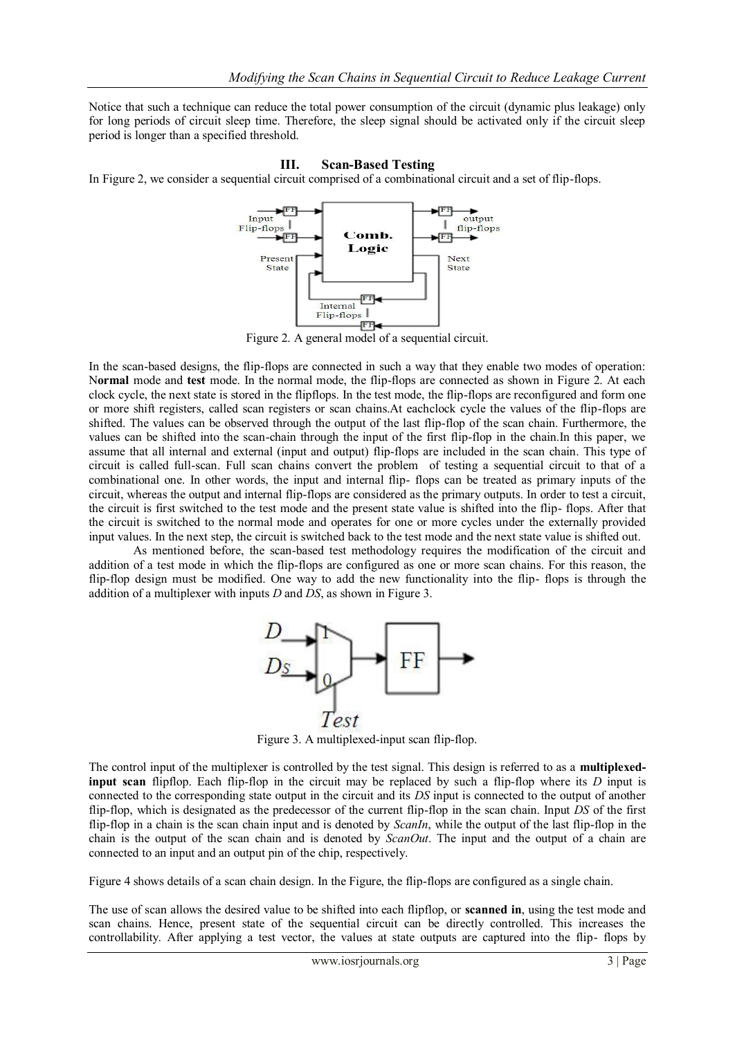Notice that such a technique can reduce the total power consumption of the circuit (dynamic plus leakage) only for long periods of circuit sleep time. Therefore, the sleep signal should be activated only if the circuit sleep period is longer than a specified threshold.

### **III. Scan-Based Testing**

In Figure 2, we consider a sequential circuit comprised of a combinational circuit and a set of flip-flops.



Figure 2. A general model of a sequential circuit.

In the scan-based designs, the flip-flops are connected in such a way that they enable two modes of operation: N**ormal** mode and **test** mode. In the normal mode, the flip-flops are connected as shown in Figure 2. At each clock cycle, the next state is stored in the flipflops. In the test mode, the flip-flops are reconfigured and form one or more shift registers, called scan registers or scan chains.At eachclock cycle the values of the flip-flops are shifted. The values can be observed through the output of the last flip-flop of the scan chain. Furthermore, the values can be shifted into the scan-chain through the input of the first flip-flop in the chain.In this paper, we assume that all internal and external (input and output) flip-flops are included in the scan chain. This type of circuit is called full-scan. Full scan chains convert the problem of testing a sequential circuit to that of a combinational one. In other words, the input and internal flip- flops can be treated as primary inputs of the circuit, whereas the output and internal flip-flops are considered as the primary outputs. In order to test a circuit, the circuit is first switched to the test mode and the present state value is shifted into the flip- flops. After that the circuit is switched to the normal mode and operates for one or more cycles under the externally provided input values. In the next step, the circuit is switched back to the test mode and the next state value is shifted out.

As mentioned before, the scan-based test methodology requires the modification of the circuit and addition of a test mode in which the flip-flops are configured as one or more scan chains. For this reason, the flip-flop design must be modified. One way to add the new functionality into the flip- flops is through the addition of a multiplexer with inputs *D* and *DS*, as shown in Figure 3.



Figure 3. A multiplexed-input scan flip-flop.

The control input of the multiplexer is controlled by the test signal. This design is referred to as a **multiplexedinput scan** flipflop. Each flip-flop in the circuit may be replaced by such a flip-flop where its *D* input is connected to the corresponding state output in the circuit and its *DS* input is connected to the output of another flip-flop, which is designated as the predecessor of the current flip-flop in the scan chain. Input *DS* of the first flip-flop in a chain is the scan chain input and is denoted by *ScanIn*, while the output of the last flip-flop in the chain is the output of the scan chain and is denoted by *ScanOut*. The input and the output of a chain are connected to an input and an output pin of the chip, respectively.

Figure 4 shows details of a scan chain design. In the Figure, the flip-flops are configured as a single chain.

The use of scan allows the desired value to be shifted into each flipflop, or **scanned in**, using the test mode and scan chains. Hence, present state of the sequential circuit can be directly controlled. This increases the controllability. After applying a test vector, the values at state outputs are captured into the flip- flops by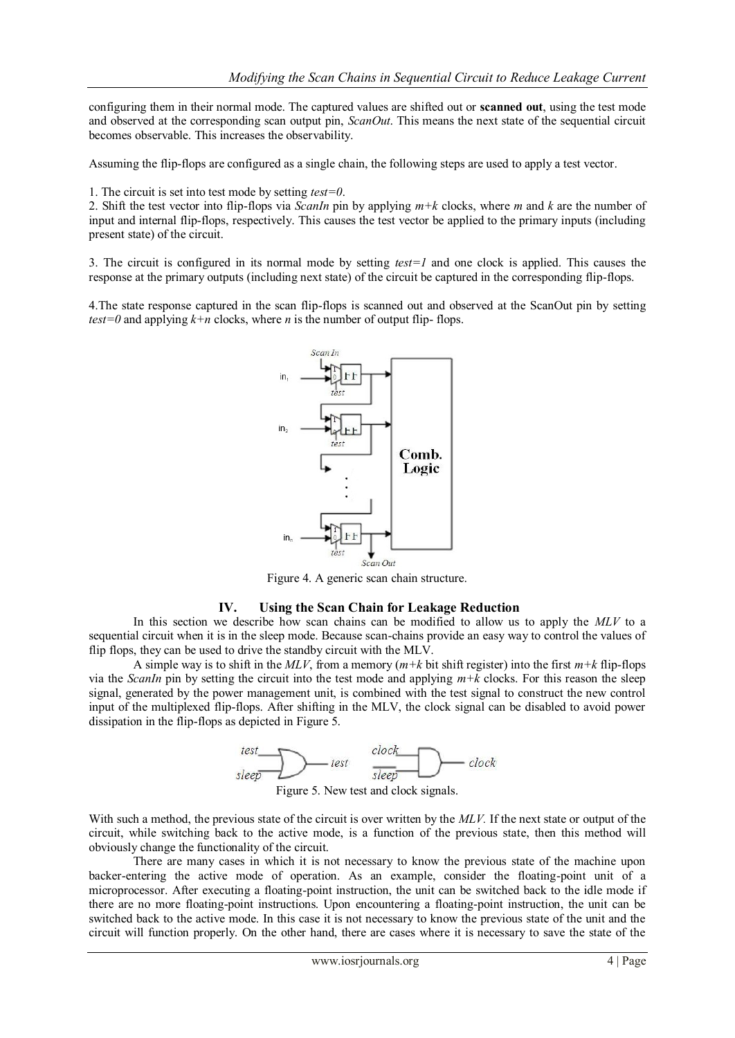configuring them in their normal mode. The captured values are shifted out or **scanned out**, using the test mode and observed at the corresponding scan output pin, *ScanOut*. This means the next state of the sequential circuit becomes observable. This increases the observability.

Assuming the flip-flops are configured as a single chain, the following steps are used to apply a test vector.

1. The circuit is set into test mode by setting *test=0*.

2. Shift the test vector into flip-flops via *ScanIn* pin by applying *m+k* clocks, where *m* and *k* are the number of input and internal flip-flops, respectively. This causes the test vector be applied to the primary inputs (including present state) of the circuit.

3. The circuit is configured in its normal mode by setting *test=1* and one clock is applied. This causes the response at the primary outputs (including next state) of the circuit be captured in the corresponding flip-flops.

4.The state response captured in the scan flip-flops is scanned out and observed at the ScanOut pin by setting *test=0* and applying  $k+n$  clocks, where *n* is the number of output flip-flops.



Figure 4. A generic scan chain structure.

#### **IV. Using the Scan Chain for Leakage Reduction**

In this section we describe how scan chains can be modified to allow us to apply the *MLV* to a sequential circuit when it is in the sleep mode. Because scan-chains provide an easy way to control the values of flip flops, they can be used to drive the standby circuit with the MLV.

A simple way is to shift in the  $MLV$ , from a memory  $(m+k)$  bit shift register) into the first  $m+k$  flip-flops via the *ScanIn* pin by setting the circuit into the test mode and applying *m+k* clocks. For this reason the sleep signal, generated by the power management unit, is combined with the test signal to construct the new control input of the multiplexed flip-flops. After shifting in the MLV, the clock signal can be disabled to avoid power dissipation in the flip-flops as depicted in Figure 5.





With such a method, the previous state of the circuit is over written by the *MLV*. If the next state or output of the circuit, while switching back to the active mode, is a function of the previous state, then this method will obviously change the functionality of the circuit.

There are many cases in which it is not necessary to know the previous state of the machine upon backer-entering the active mode of operation. As an example, consider the floating-point unit of a microprocessor. After executing a floating-point instruction, the unit can be switched back to the idle mode if there are no more floating-point instructions. Upon encountering a floating-point instruction, the unit can be switched back to the active mode. In this case it is not necessary to know the previous state of the unit and the circuit will function properly. On the other hand, there are cases where it is necessary to save the state of the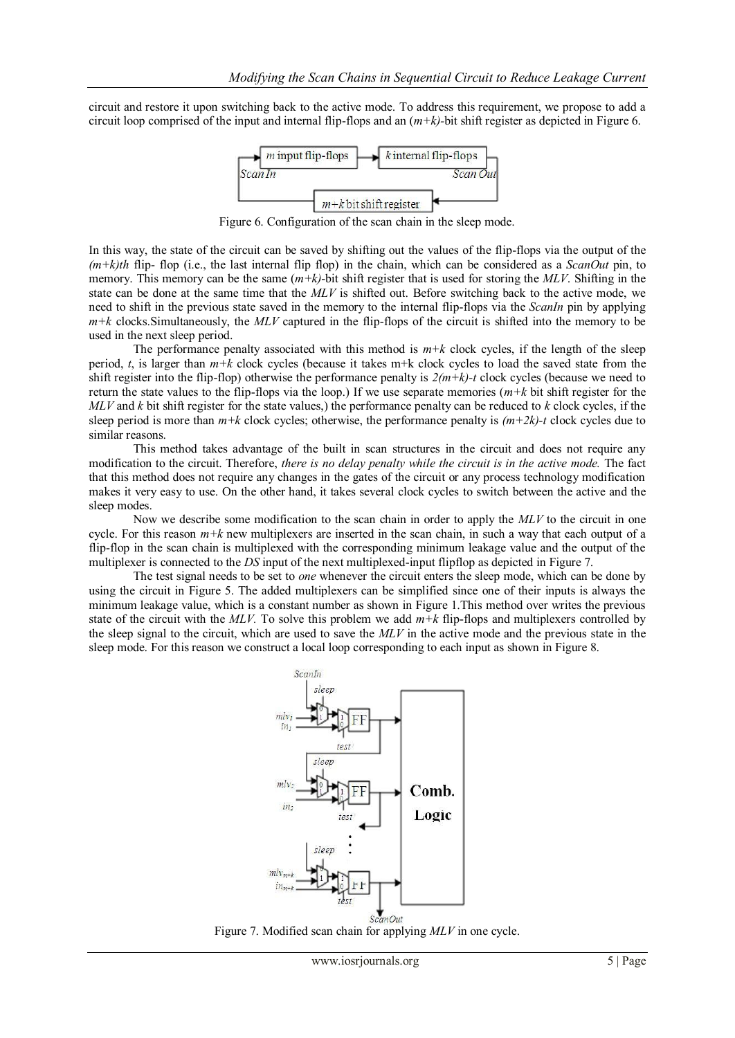circuit and restore it upon switching back to the active mode. To address this requirement, we propose to add a circuit loop comprised of the input and internal flip-flops and an  $(m+k)$ -bit shift register as depicted in Figure 6.



Figure 6. Configuration of the scan chain in the sleep mode.

In this way, the state of the circuit can be saved by shifting out the values of the flip-flops via the output of the  $(m+k)th$  flip- flop (i.e., the last internal flip flop) in the chain, which can be considered as a *ScanOut* pin, to memory. This memory can be the same (*m+k)*-bit shift register that is used for storing the *MLV*. Shifting in the state can be done at the same time that the *MLV* is shifted out. Before switching back to the active mode, we need to shift in the previous state saved in the memory to the internal flip-flops via the *ScanIn* pin by applying *m+k* clocks.Simultaneously, the *MLV* captured in the flip-flops of the circuit is shifted into the memory to be used in the next sleep period.

The performance penalty associated with this method is  $m+k$  clock cycles, if the length of the sleep period, *t*, is larger than *m+k* clock cycles (because it takes m+k clock cycles to load the saved state from the shift register into the flip-flop) otherwise the performance penalty is *2(m+k)-t* clock cycles (because we need to return the state values to the flip-flops via the loop.) If we use separate memories (*m+k* bit shift register for the *MLV* and *k* bit shift register for the state values,) the performance penalty can be reduced to *k* clock cycles, if the sleep period is more than  $m+k$  clock cycles; otherwise, the performance penalty is  $(m+2k)-t$  clock cycles due to similar reasons.

This method takes advantage of the built in scan structures in the circuit and does not require any modification to the circuit. Therefore, *there is no delay penalty while the circuit is in the active mode.* The fact that this method does not require any changes in the gates of the circuit or any process technology modification makes it very easy to use. On the other hand, it takes several clock cycles to switch between the active and the sleep modes.

Now we describe some modification to the scan chain in order to apply the *MLV* to the circuit in one cycle. For this reason  $m+k$  new multiplexers are inserted in the scan chain, in such a way that each output of a flip-flop in the scan chain is multiplexed with the corresponding minimum leakage value and the output of the multiplexer is connected to the *DS* input of the next multiplexed-input flipflop as depicted in Figure 7.

The test signal needs to be set to *one* whenever the circuit enters the sleep mode, which can be done by using the circuit in Figure 5. The added multiplexers can be simplified since one of their inputs is always the minimum leakage value, which is a constant number as shown in Figure 1.This method over writes the previous state of the circuit with the  $MLV$ . To solve this problem we add  $m+k$  flip-flops and multiplexers controlled by the sleep signal to the circuit, which are used to save the *MLV* in the active mode and the previous state in the sleep mode. For this reason we construct a local loop corresponding to each input as shown in Figure 8.



Figure 7. Modified scan chain for applying *MLV* in one cycle.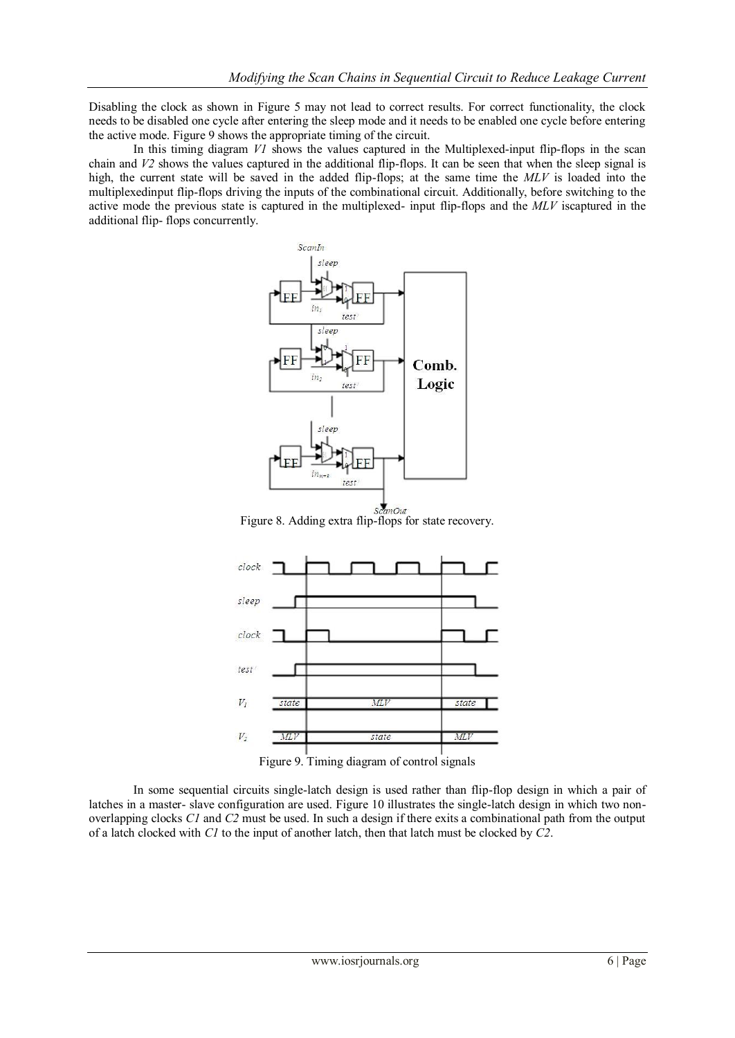Disabling the clock as shown in Figure 5 may not lead to correct results. For correct functionality, the clock needs to be disabled one cycle after entering the sleep mode and it needs to be enabled one cycle before entering the active mode. Figure 9 shows the appropriate timing of the circuit.

In this timing diagram *V1* shows the values captured in the Multiplexed-input flip-flops in the scan chain and *V2* shows the values captured in the additional flip-flops. It can be seen that when the sleep signal is high, the current state will be saved in the added flip-flops; at the same time the *MLV* is loaded into the multiplexedinput flip-flops driving the inputs of the combinational circuit. Additionally, before switching to the active mode the previous state is captured in the multiplexed- input flip-flops and the *MLV* iscaptured in the additional flip- flops concurrently.



Figure 8. Adding extra flip-flops for state recovery.



Figure 9. Timing diagram of control signals

In some sequential circuits single-latch design is used rather than flip-flop design in which a pair of latches in a master- slave configuration are used. Figure 10 illustrates the single-latch design in which two nonoverlapping clocks *C1* and *C2* must be used. In such a design if there exits a combinational path from the output of a latch clocked with *C1* to the input of another latch, then that latch must be clocked by *C2*.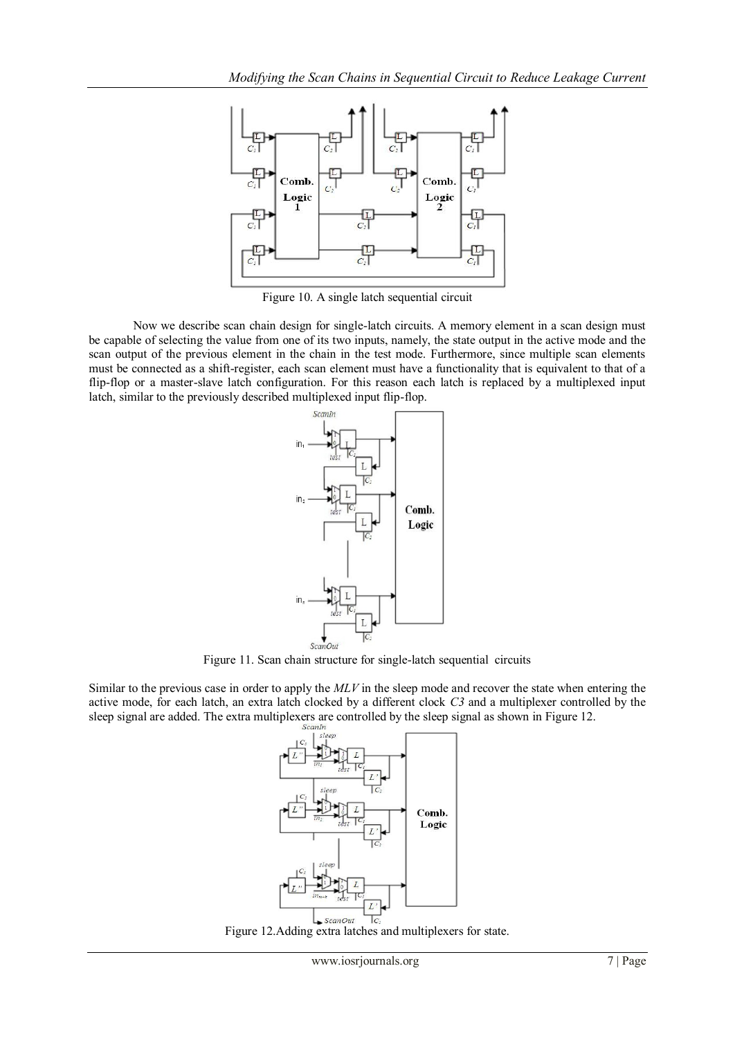

Figure 10. A single latch sequential circuit

Now we describe scan chain design for single-latch circuits. A memory element in a scan design must be capable of selecting the value from one of its two inputs, namely, the state output in the active mode and the scan output of the previous element in the chain in the test mode. Furthermore, since multiple scan elements must be connected as a shift-register, each scan element must have a functionality that is equivalent to that of a flip-flop or a master-slave latch configuration. For this reason each latch is replaced by a multiplexed input latch, similar to the previously described multiplexed input flip-flop.



Figure 11. Scan chain structure for single-latch sequential circuits

Similar to the previous case in order to apply the *MLV* in the sleep mode and recover the state when entering the active mode, for each latch, an extra latch clocked by a different clock *C3* and a multiplexer controlled by the sleep signal are added. The extra multiplexers are controlled by the sleep signal as shown in Figure 12.



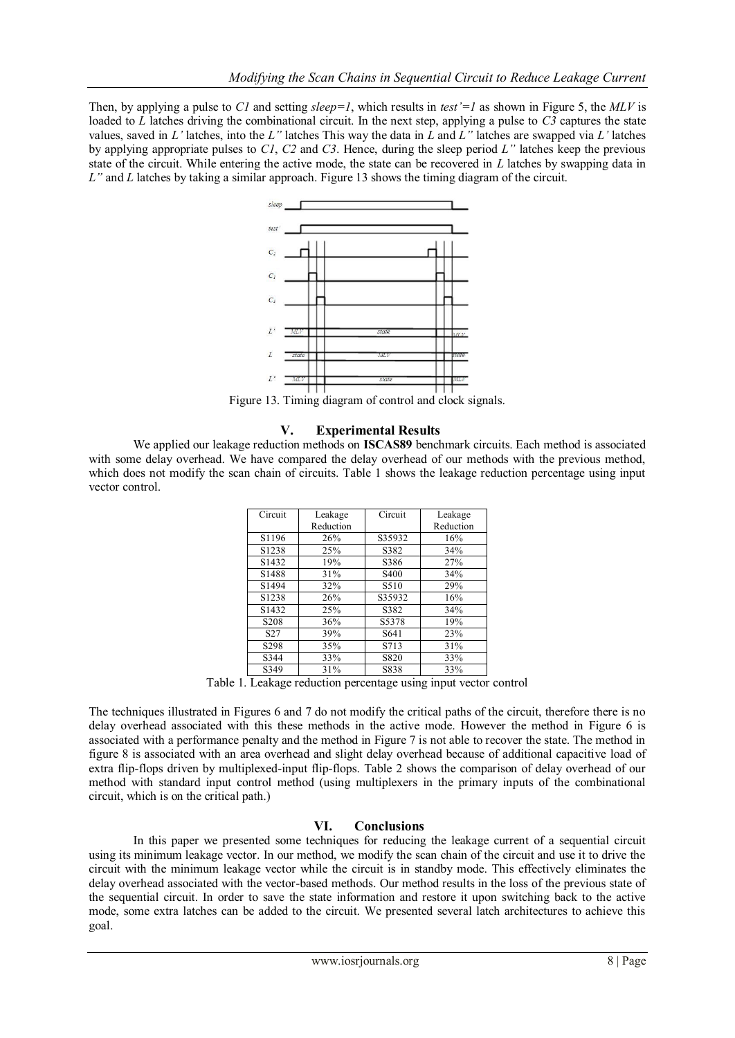Then, by applying a pulse to *C1* and setting *sleep=1*, which results in *test'=1* as shown in Figure 5, the *MLV* is loaded to *L* latches driving the combinational circuit. In the next step, applying a pulse to *C3* captures the state values, saved in *L'* latches, into the *L"* latches This way the data in *L* and *L"* latches are swapped via *L'* latches by applying appropriate pulses to *C1*, *C2* and *C3*. Hence, during the sleep period *L"* latches keep the previous state of the circuit. While entering the active mode, the state can be recovered in *L* latches by swapping data in *L"* and *L* latches by taking a similar approach. Figure 13 shows the timing diagram of the circuit.



Figure 13. Timing diagram of control and clock signals.

## **V. Experimental Results**

We applied our leakage reduction methods on **ISCAS89** benchmark circuits. Each method is associated with some delay overhead. We have compared the delay overhead of our methods with the previous method, which does not modify the scan chain of circuits. Table 1 shows the leakage reduction percentage using input vector control.

| Circuit           | Leakage   | Circuit          | Leakage   |
|-------------------|-----------|------------------|-----------|
|                   | Reduction |                  | Reduction |
| S1196             | 26%       | S35932           | 16%       |
| S1238             | 25%       | S382             | 34%       |
| S <sub>1432</sub> | 19%       | S386             | 27%       |
| S1488             | 31%       | S <sub>400</sub> | 34%       |
| S1494             | 32%       | S510             | 29%       |
| S <sub>1238</sub> | 26%       | S35932           | 16%       |
| S <sub>1432</sub> | 25%       | S382             | 34%       |
| S <sub>208</sub>  | 36%       | S5378            | 19%       |
| S <sub>27</sub>   | 39%       | S641             | 23%       |
| S <sub>298</sub>  | 35%       | S713             | 31%       |
| S344              | 33%       | S820             | 33%       |
| S349              | 31%       | S838             | 33%       |

Table 1. Leakage reduction percentage using input vector control

The techniques illustrated in Figures 6 and 7 do not modify the critical paths of the circuit, therefore there is no delay overhead associated with this these methods in the active mode. However the method in Figure 6 is associated with a performance penalty and the method in Figure 7 is not able to recover the state. The method in figure 8 is associated with an area overhead and slight delay overhead because of additional capacitive load of extra flip-flops driven by multiplexed-input flip-flops. Table 2 shows the comparison of delay overhead of our method with standard input control method (using multiplexers in the primary inputs of the combinational circuit, which is on the critical path.)

# **VI. Conclusions**

In this paper we presented some techniques for reducing the leakage current of a sequential circuit using its minimum leakage vector. In our method, we modify the scan chain of the circuit and use it to drive the circuit with the minimum leakage vector while the circuit is in standby mode. This effectively eliminates the delay overhead associated with the vector-based methods. Our method results in the loss of the previous state of the sequential circuit. In order to save the state information and restore it upon switching back to the active mode, some extra latches can be added to the circuit. We presented several latch architectures to achieve this goal.